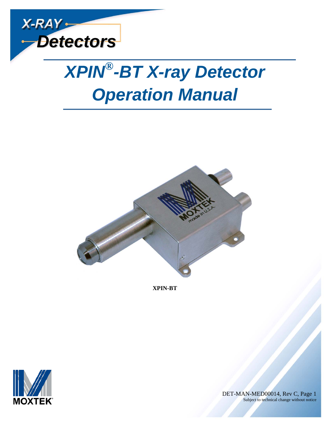



**XPIN-BT**



 DET-MAN-MED00014, Rev C, Page 1 Subject to technical change without notice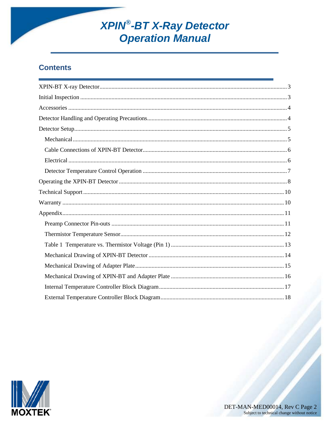# **XPIN<sup>®</sup>-BT X-Ray Detector**<br>**Operation Manual**

#### **Contents**

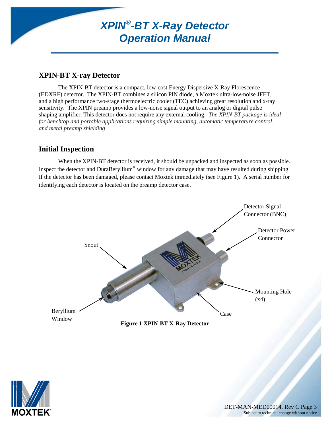#### <span id="page-2-0"></span>**XPIN-BT X-ray Detector**

The XPIN-BT detector is a compact, low-cost Energy Dispersive X-Ray Florescence (EDXRF) detector. The XPIN-BT combines a silicon PIN diode, a Moxtek ultra-low-noise JFET, and a high performance two-stage thermoelectric cooler (TEC) achieving great resolution and x-ray sensitivity. The XPIN preamp provides a low-noise signal output to an analog or digital pulse shaping amplifier. This detector does not require any external cooling. *The XPIN-BT package is ideal for benchtop and portable applications requiring simple mounting, automatic temperature control, and metal preamp shielding*

#### <span id="page-2-1"></span>**Initial Inspection**

When the XPIN-BT detector is received, it should be unpacked and inspected as soon as possible. Inspect the detector and DuraBeryllium® window for any damage that may have resulted during shipping. If the detector has been damaged, please contact Moxtek immediately (see Figure 1). A serial number for identifying each detector is located on the preamp detector case.



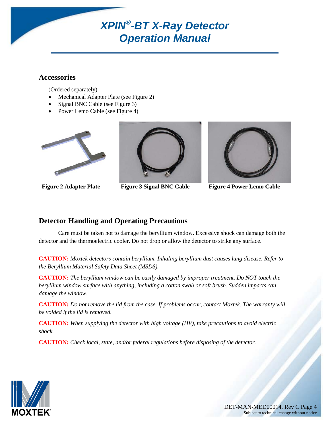#### <span id="page-3-0"></span>**Accessories**

(Ordered separately)

- Mechanical Adapter Plate (see Figure 2)
- Signal BNC Cable (see Figure 3)
- Power Lemo Cable (see Figure 4)





**Figure 2 Adapter Plate Figure 3 Signal BNC Cable Figure 4 Power Lemo Cable**



#### <span id="page-3-1"></span>**Detector Handling and Operating Precautions**

Care must be taken not to damage the beryllium window. Excessive shock can damage both the detector and the thermoelectric cooler. Do not drop or allow the detector to strike any surface.

**CAUTION:** *Moxtek detectors contain beryllium. Inhaling beryllium dust causes lung disease. Refer to the Beryllium Material Safety Data Sheet (MSDS).* 

**CAUTION:** *The beryllium window can be easily damaged by improper treatment. Do NOT touch the beryllium window surface with anything, including a cotton swab or soft brush. Sudden impacts can damage the window.*

**CAUTION:** *Do not remove the lid from the case. If problems occur, contact Moxtek. The warranty will be voided if the lid is removed.*

**CAUTION:** *When supplying the detector with high voltage (HV), take precautions to avoid electric shock.*

**CAUTION:** *Check local, state, and/or federal regulations before disposing of the detector.*

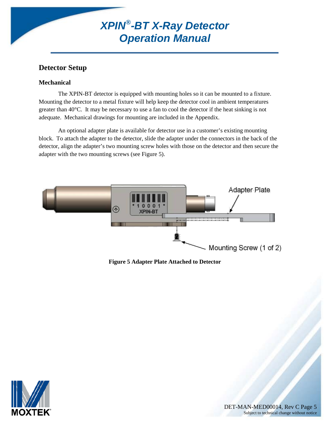#### <span id="page-4-0"></span>**Detector Setup**

#### <span id="page-4-1"></span>**Mechanical**

The XPIN-BT detector is equipped with mounting holes so it can be mounted to a fixture. Mounting the detector to a metal fixture will help keep the detector cool in ambient temperatures greater than 40°C. It may be necessary to use a fan to cool the detector if the heat sinking is not adequate. Mechanical drawings for mounting are included in the Appendix.

An optional adapter plate is available for detector use in a customer's existing mounting block. To attach the adapter to the detector, slide the adapter under the connectors in the back of the detector, align the adapter's two mounting screw holes with those on the detector and then secure the adapter with the two mounting screws (see Figure 5).



**Figure 5 Adapter Plate Attached to Detector**

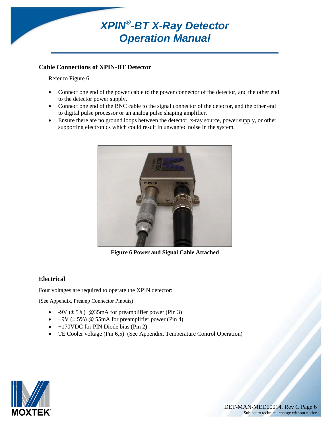

#### <span id="page-5-0"></span>**Cable Connections of XPIN-BT Detector**

Refer to Figure 6

- Connect one end of the power cable to the power connector of the detector, and the other end to the detector power supply.
- Connect one end of the BNC cable to the signal connector of the detector, and the other end to digital pulse processor or an analog pulse shaping amplifier.
- Ensure there are no ground loops between the detector, x-ray source, power supply, or other supporting electronics which could result in unwanted noise in the system.



**Figure 6 Power and Signal Cable Attached**

#### <span id="page-5-1"></span>**Electrical**

Four voltages are required to operate the XPIN detector:

(See Appendix, Preamp Connector Pinouts)

- $-9V$  ( $\pm$  5%) @35mA for preamplifier power (Pin 3)
- $+9V (\pm 5\%)$  @ 55mA for preamplifier power (Pin 4)
- +170VDC for PIN Diode bias (Pin 2)
- TE Cooler voltage (Pin 6,5) (See Appendix, Temperature Control Operation)

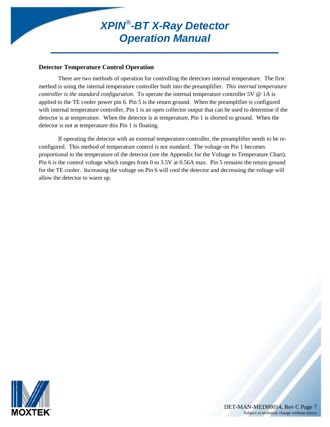#### <span id="page-6-0"></span>**Detector Temperature Control Operation**

There are two methods of operation for controlling the detectors internal temperature. The first method is using the internal temperature controller built into the preamplifier. *This internal temperature controller is the standard configuration*. To operate the internal temperature controller 5V @ 1A is applied to the TE cooler power pin 6. Pin 5 is the return ground. When the preamplifier is configured with internal temperature controller, Pin 1 is an open collector output that can be used to determine if the detector is at temperature. When the detector is at temperature, Pin 1 is shorted to ground. When the detector is not at temperature this Pin 1 is floating.

If operating the detector with an external temperature controller, the preamplifier needs to be reconfigured. This method of temperature control is not standard. The voltage on Pin 1 becomes proportional to the temperature of the detector (see the Appendix for the Voltage to Temperature Chart). Pin 6 is the control voltage which ranges from 0 to 3.5V at 0.56A max. Pin 5 remains the return ground for the TE cooler. Increasing the voltage on Pin 6 will cool the detector and decreasing the voltage will allow the detector to warm up.



DET-MAN-MED00014, Rev C Page 7<br>Subject to technical change without notice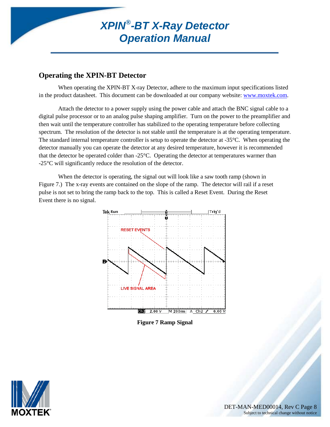#### <span id="page-7-0"></span>**Operating the XPIN-BT Detector**

When operating the XPIN-BT X-ray Detector, adhere to the maximum input specifications listed in the product datasheet. This document can be downloaded at our company website: [www.moxtek.com.](http://www.moxtek.com/)

Attach the detector to a power supply using the power cable and attach the BNC signal cable to a digital pulse processor or to an analog pulse shaping amplifier. Turn on the power to the preamplifier and then wait until the temperature controller has stabilized to the operating temperature before collecting spectrum. The resolution of the detector is not stable until the temperature is at the operating temperature. The standard internal temperature controller is setup to operate the detector at -35°C. When operating the detector manually you can operate the detector at any desired temperature, however it is recommended that the detector be operated colder than -25°C. Operating the detector at temperatures warmer than -25°C will significantly reduce the resolution of the detector.

When the detector is operating, the signal out will look like a saw tooth ramp (shown in Figure 7.) The x-ray events are contained on the slope of the ramp. The detector will rail if a reset pulse is not set to bring the ramp back to the top. This is called a Reset Event. During the Reset Event there is no signal.



**Figure 7 Ramp Signal**

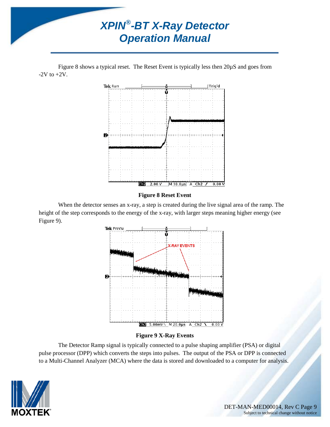

Figure 8 shows a typical reset. The Reset Event is typically less then 20µS and goes from  $-2V$  to  $+2V$ .



#### **Figure 8 Reset Event**

When the detector senses an x-ray, a step is created during the live signal area of the ramp. The height of the step corresponds to the energy of the x-ray, with larger steps meaning higher energy (see Figure 9).



#### **Figure 9 X-Ray Events**

The Detector Ramp signal is typically connected to a pulse shaping amplifier (PSA) or digital pulse processor (DPP) which converts the steps into pulses. The output of the PSA or DPP is connected to a Multi-Channel Analyzer (MCA) where the data is stored and downloaded to a computer for analysis.

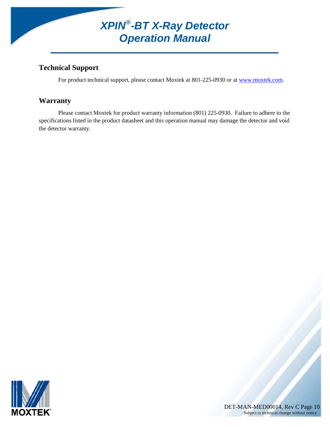#### <span id="page-9-0"></span>**Technical Support**

For product technical support, please contact Moxtek at 801-225-0930 or at [www.moxtek.com.](http://www.moxtek.com/)

#### <span id="page-9-1"></span>**Warranty**

Please contact Moxtek for product warranty information (801) 225-0930. Failure to adhere to the specifications listed in the product datasheet and this operation manual may damage the detector and void the detector warranty.



DET-MAN-MED00014, Rev C Page 10<br>Subject to technical change without notice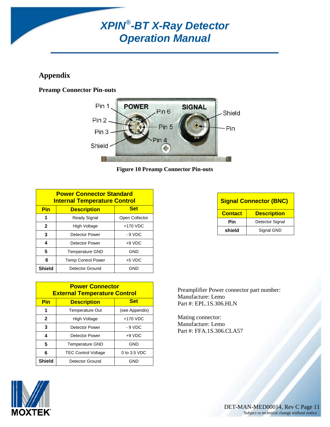#### <span id="page-10-0"></span>**Appendix**

#### <span id="page-10-1"></span>**Preamp Connector Pin-outs**



**Figure 10 Preamp Connector Pin-outs**

| <b>Power Connector Standard</b><br><b>Internal Temperature Control</b> |                                   |                |  |  |
|------------------------------------------------------------------------|-----------------------------------|----------------|--|--|
| Pin                                                                    | <b>Description</b>                | <b>Set</b>     |  |  |
| 1                                                                      | <b>Ready Signal</b>               | Open Collector |  |  |
| $\mathbf{2}$                                                           | <b>High Voltage</b>               | $+170$ VDC     |  |  |
| 3                                                                      | <b>Detector Power</b>             | - 9 VDC        |  |  |
| 4                                                                      | $+9$ VDC<br><b>Detector Power</b> |                |  |  |
| 5                                                                      | <b>Temperature GND</b>            | GND            |  |  |
| 6                                                                      | <b>Temp Control Power</b>         | $+5$ VDC       |  |  |
| <b>Shield</b>                                                          | Detector Ground                   | GND            |  |  |

| <b>Power Connector</b><br><b>External Temperature Control</b> |                            |                |  |  |
|---------------------------------------------------------------|----------------------------|----------------|--|--|
| Pin                                                           | <b>Description</b>         | <b>Set</b>     |  |  |
| 1                                                             | <b>Temperature Out</b>     | (see Appendix) |  |  |
| $\mathbf{2}$                                                  | High Voltage               | +170 VDC       |  |  |
| 3                                                             | <b>Detector Power</b>      | - 9 VDC        |  |  |
| 4                                                             | <b>Detector Power</b>      | $+9$ VDC       |  |  |
| 5                                                             | <b>Temperature GND</b>     | <b>GND</b>     |  |  |
| 6                                                             | <b>TEC Control Voltage</b> | $0$ to 3.5 VDC |  |  |
| <b>Shield</b>                                                 | Detector Ground            | GND            |  |  |

**Signal Connector (BNC) Contact Description Pin** Detector Signal shield Signal GND

Preamplifier Power connector part number: Manufacture: Lemo Part #: EPL.1S.306.HLN

Mating connector: Manufacture: Lemo Part #: FFA.1S.306.CLA57



DET-MAN-MED00014, Rev C Page 11<br>Subject to technical change without notice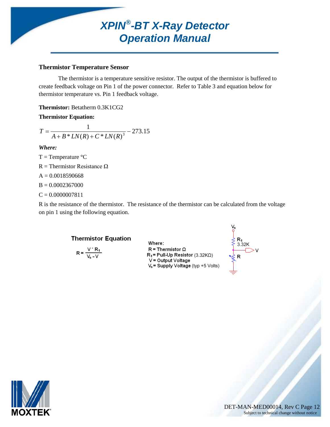#### <span id="page-11-0"></span>**Thermistor Temperature Sensor**

The thermistor is a temperature sensitive resistor. The output of the thermistor is buffered to create feedback voltage on Pin 1 of the power connector. Refer to Table 3 and equation below for thermistor temperature vs. Pin 1 feedback voltage.

**Thermistor:** Betatherm 0.3K1CG2

**Thermistor Equation:**

$$
T = \frac{1}{A + B * LN(R) + C * LN(R)^3} - 273.15
$$

#### *Where:*

 $T = Temperature °C$ R = Thermistor Resistance  $\Omega$  $A = 0.0018590668$  $B = 0.0002367000$  $C = 0.0000007811$ 

R is the resistance of the thermistor. The resistance of the thermistor can be calculated from the voltage on pin 1 using the following equation.

#### **Thermistor Equation**

$$
R = \frac{V^* R_1}{V_s - V}
$$

Where:  $R = Thermistor \Omega$  $R_1$  = Pull-Up Resistor (3.32KQ) V = Output Voltage V<sub>s</sub> = Supply Voltage (typ +5 Volts)



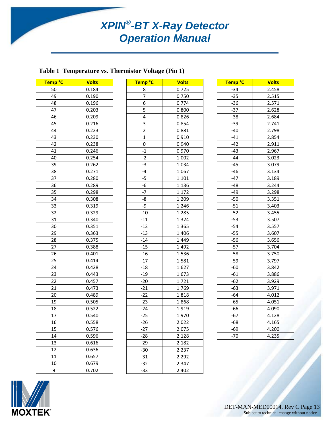#### <span id="page-12-0"></span>**Table 1 Temperature vs. Thermistor Voltage (Pin 1)**

| Temp <sup>°</sup> C | <b>Volts</b> |
|---------------------|--------------|
| 50                  | 0.184        |
| 49                  | 0.190        |
| 48                  | 0.196        |
| 47                  | 0.203        |
| 46                  | 0.209        |
| 45                  | 0.216        |
| 44                  | 0.223        |
| 43                  | 0.230        |
| 42                  | 0.238        |
| 41                  | 0.246        |
| 40                  | 0.254        |
| 39                  | 0.262        |
| 38                  | 0.271        |
| 37                  | 0.280        |
| 36                  | 0.289        |
| 35                  | 0.298        |
| 34                  | 0.308        |
| 33                  | 0.319        |
| 32                  | 0.329        |
| 31                  | 0.340        |
| 30                  | 0.351        |
| 29                  | 0.363        |
| 28                  | 0.375        |
| 27                  | 0.388        |
| 26                  | 0.401        |
| 25                  | 0.414        |
| 24                  | 0.428        |
| 23                  | 0.443        |
| 22                  | 0.457        |
| 21                  | 0.473        |
| 20                  | 0.489        |
| 19                  | 0.505        |
| 18                  | 0.522        |
| 17                  | 0.540        |
| 16                  | 0.558        |
| 15                  | 0.576        |
| 14                  | 0.596        |
| 13                  | 0.616        |
| 12                  | 0.636        |
| 11                  | 0.657        |
| 10                  | 0.679        |
| 9                   | 0.702        |

| Temp °C                 | <b>Volts</b> |
|-------------------------|--------------|
| 8                       | 0.725        |
| 7                       | 0.750        |
| 6                       | 0.774        |
| 5                       | 0.800        |
| 4                       | 0.826        |
| 3                       | 0.854        |
| $\overline{\mathbf{c}}$ | 0.881        |
| $\overline{1}$          | 0.910        |
| 0                       | 0.940        |
| $-1$                    | 0.970        |
| $-2$                    | 1.002        |
| $-3$                    | 1.034        |
| -4                      | 1.067        |
| $-5$                    | 1.101        |
| $-6$                    | 1.136        |
| $-7$                    | 1.172        |
| -8                      | 1.209        |
| -9                      | 1.246        |
| $-10$                   | 1.285        |
| $-11$                   | 1.324        |
| $-12$                   | 1.365        |
| $-13$                   | 1.406        |
| $-14$                   | 1.449        |
| $-15$                   | 1.492        |
| $-16$                   | 1.536        |
| $-17$                   | 1.581        |
| $-18$                   | 1.627        |
| $-19$                   | 1.673        |
| $-20$                   | 1.721        |
| $-21$                   | 1.769        |
| $-22$                   | 1.818        |
| $-23$                   | 1.868        |
| $-24$                   | 1.919        |
| $-25$                   | 1.970        |
| $-26$                   | 2.022        |
| $-27$                   | 2.075        |
| $-28$                   | 2.128        |
| $-29$                   | 2.182        |
| $-30$                   | 2.237        |
| $-31$                   | 2.292        |
| $-32$                   | 2.347        |
| $-33$                   | 2.402        |

| Temp °C | <b>Volts</b> |
|---------|--------------|
| $-34$   | 2.458        |
| $-35$   | 2.515        |
| $-36$   | 2.571        |
| $-37$   | 2.628        |
| $-38$   | 2.684        |
| $-39$   | 2.741        |
| -40     | 2.798        |
| $-41$   | 2.854        |
| $-42$   | 2.911        |
| $-43$   | 2.967        |
| $-44$   | 3.023        |
| $-45$   | 3.079        |
| $-46$   | 3.134        |
| $-47$   | 3.189        |
| $-48$   | 3.244        |
| $-49$   | 3.298        |
| $-50$   | 3.351        |
| $-51$   | 3.403        |
| $-52$   | 3.455        |
| $-53$   | 3.507        |
| $-54$   | 3.557        |
| $-55$   | 3.607        |
| $-56$   | 3.656        |
| $-57$   | 3.704        |
| $-58$   | 3.750        |
| $-59$   | 3.797        |
| -60     | 3.842        |
| $-61$   | 3.886        |
| -62     | 3.929        |
| $-63$   | 3.971        |
| $-64$   | 4.012        |
| $-65$   | 4.051        |
| $-66$   | 4.090        |
| $-67$   | 4.128        |
| $-68$   | 4.165        |
| $-69$   | 4.200        |
| $-70$   | 4.235        |

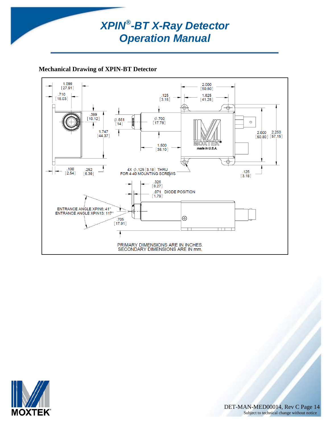#### <span id="page-13-0"></span>**Mechanical Drawing of XPIN-BT Detector**



![](_page_13_Picture_3.jpeg)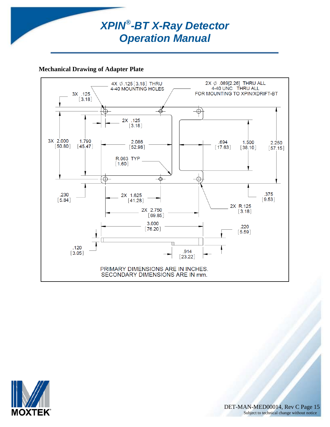![](_page_14_Picture_0.jpeg)

#### <span id="page-14-0"></span>**Mechanical Drawing of Adapter Plate**

![](_page_14_Figure_2.jpeg)

![](_page_14_Picture_3.jpeg)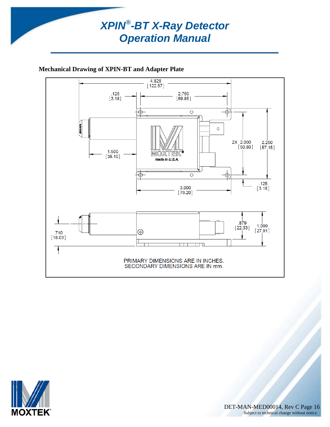![](_page_15_Picture_0.jpeg)

#### <span id="page-15-0"></span>**Mechanical Drawing of XPIN-BT and Adapter Plate**

![](_page_15_Figure_2.jpeg)

![](_page_15_Picture_3.jpeg)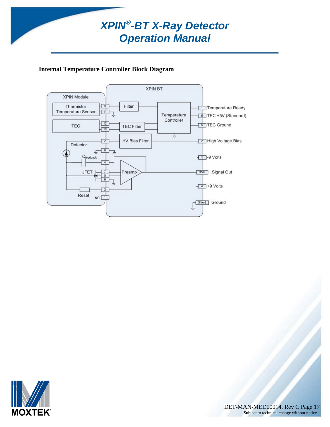#### <span id="page-16-0"></span>**Internal Temperature Controller Block Diagram**

![](_page_16_Figure_2.jpeg)

![](_page_16_Picture_3.jpeg)

DET-MAN-MED00014, Rev C Page 17 Subject to technical change without notice